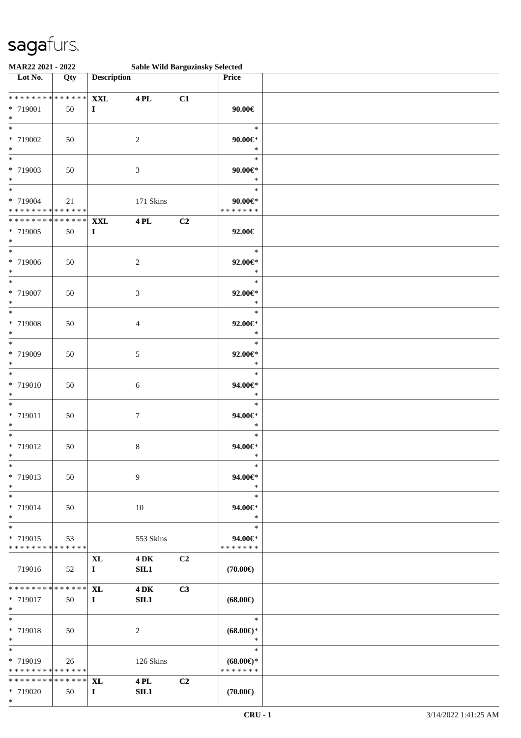| MAR22 2021 - 2022                                                   |        |                               | <b>Sable Wild Barguzinsky Selected</b> |    |                                                |  |
|---------------------------------------------------------------------|--------|-------------------------------|----------------------------------------|----|------------------------------------------------|--|
| Lot No.                                                             | Qty    | <b>Description</b>            |                                        |    | Price                                          |  |
| * * * * * * * * * * * * * *<br>* 719001<br>$\ast$                   | 50     | <b>XXL</b><br>$\mathbf{I}$    | <b>4PL</b>                             | C1 | $90.00 \in$                                    |  |
| $\overline{\phantom{0}}$<br>* 719002<br>$\ast$                      | 50     |                               | $\sqrt{2}$                             |    | $\ast$<br>$90.00 \in$<br>$\ast$                |  |
| $*$<br>* 719003<br>$\ast$                                           | 50     |                               | $\mathfrak{Z}$                         |    | $\ast$<br>$90.00 \text{eV}$<br>$\ast$          |  |
| $\overline{\phantom{0}}$<br>* 719004<br>* * * * * * * * * * * * * * | 21     |                               | 171 Skins                              |    | $\ast$<br>$90.00 \in$<br>* * * * * * *         |  |
| * * * * * * * * * * * * * * *<br>* 719005<br>$*$                    | 50     | <b>XXL</b><br>$\mathbf I$     | <b>4PL</b>                             | C2 | 92.00€                                         |  |
| $*$<br>* 719006<br>$\ast$                                           | 50     |                               | $\overline{c}$                         |    | $\ast$<br>92.00€*<br>$\ast$                    |  |
| $\ast$<br>* 719007<br>$\ast$                                        | 50     |                               | 3                                      |    | $\ast$<br>$92.00 \in$ *<br>$\ast$              |  |
| $\overline{\ast}$<br>* 719008<br>$\ast$                             | 50     |                               | $\overline{4}$                         |    | $\ast$<br>$92.00 \text{E}^*$<br>$\ast$         |  |
| $*$<br>* 719009<br>$\ast$                                           | 50     |                               | $\sqrt{5}$                             |    | $\ast$<br>$92.00 \text{E}^*$<br>$\ast$         |  |
| $\ast$<br>* 719010<br>$\ast$                                        | 50     |                               | $\boldsymbol{6}$                       |    | $\ast$<br>$94.00 \text{E}$<br>$\ast$           |  |
| $\ast$<br>$* 719011$<br>$*$                                         | $50\,$ |                               | $\tau$                                 |    | $\ast$<br>$94.00 \text{E}$<br>$\ast$           |  |
| $*$<br>* 719012<br>$*$                                              | 50     |                               | $\,8\,$                                |    | $\ast$<br>94.00€*<br>$\ast$                    |  |
| $*$<br>* 719013<br>$*$                                              | 50     |                               | 9                                      |    | $\ast$<br>94.00€*<br>$\ast$                    |  |
| $\ast$<br>* 719014<br>$*$                                           | 50     |                               | 10                                     |    | $\ast$<br>94.00€*<br>$\ast$                    |  |
| $*$<br>* 719015<br>* * * * * * * * * * * * * *                      | 53     |                               | 553 Skins                              |    | $\ast$<br>94.00€*<br>* * * * * * *             |  |
| 719016                                                              | 52     | $\mathbf{XL}$<br>$\mathbf{I}$ | $4\,\mathrm{DK}$<br>SL1                | C2 | $(70.00\in)$                                   |  |
| ******** <mark>******</mark><br>* 719017<br>$*$                     | 50     | <b>XL</b><br>$\mathbf{I}$     | <b>4 DK</b><br>SIL1                    | C3 | $(68.00\epsilon)$                              |  |
| $*$<br>* 719018<br>$*$                                              | 50     |                               | 2                                      |    | $\ast$<br>$(68.00\epsilon)$ *<br>$\ast$        |  |
| $*$<br>* 719019<br>* * * * * * * * * * * * * * *                    | 26     |                               | 126 Skins                              |    | $\ast$<br>$(68.00\epsilon)$ *<br>* * * * * * * |  |
| ************** <b>XL</b><br>* 719020<br>$*$                         | 50     | $\bf{I}$                      | <b>4 PL</b><br>SL1                     | C2 | $(70.00\epsilon)$                              |  |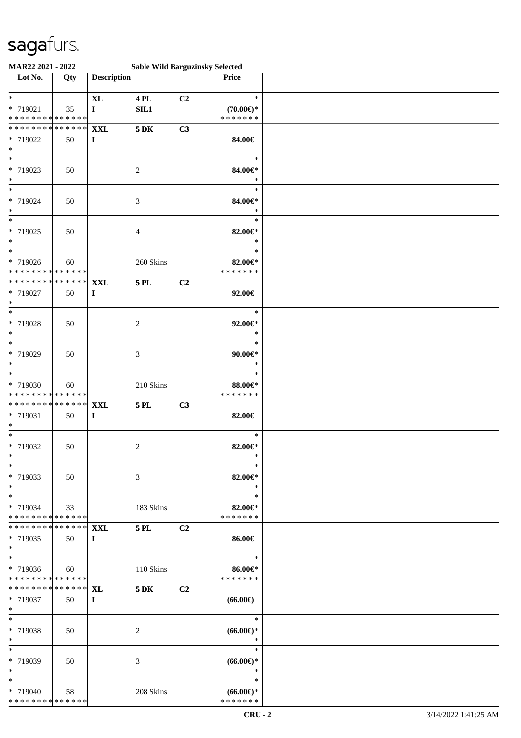| MAR22 2021 - 2022                          |     |                    | <b>Sable Wild Barguzinsky Selected</b> |                |                          |  |
|--------------------------------------------|-----|--------------------|----------------------------------------|----------------|--------------------------|--|
| $\overline{\phantom{1}}$ Lot No.           | Qty | <b>Description</b> |                                        |                | Price                    |  |
|                                            |     |                    |                                        |                |                          |  |
| $*$                                        |     | <b>XL</b>          | <b>4 PL</b>                            | C2             | $\ast$                   |  |
| * 719021                                   | 35  | $\mathbf I$        | SIL1                                   |                | $(70.00\epsilon)$ *      |  |
| * * * * * * * * * * * * * *                |     |                    |                                        |                | * * * * * * *            |  |
| * * * * * * * * * * * * * * *              |     | <b>XXL</b>         | $5\,\mathrm{DK}$                       | C3             |                          |  |
| * 719022                                   | 50  | $\bf{I}$           |                                        |                | 84.00€                   |  |
| $*$                                        |     |                    |                                        |                |                          |  |
| $*$                                        |     |                    |                                        |                | $\ast$                   |  |
| * 719023                                   | 50  |                    | 2                                      |                | 84.00€*                  |  |
| $*$                                        |     |                    |                                        |                | $\ast$                   |  |
|                                            |     |                    |                                        |                | $\ast$                   |  |
| * 719024                                   | 50  |                    | 3                                      |                | 84.00€*                  |  |
| $*$<br>$\overline{\phantom{0}}$            |     |                    |                                        |                | $\ast$                   |  |
|                                            |     |                    |                                        |                | $\ast$                   |  |
| * 719025                                   | 50  |                    | 4                                      |                | 82.00€*                  |  |
| $*$                                        |     |                    |                                        |                | $\ast$                   |  |
| $*$                                        |     |                    |                                        |                | $\ast$                   |  |
| * 719026                                   | 60  |                    | 260 Skins                              |                | 82.00€*                  |  |
| * * * * * * * * * * * * * *                |     |                    |                                        |                | * * * * * * *            |  |
| * * * * * * * * * * * * * * *              |     | <b>XXL</b>         | <b>5 PL</b>                            | C2             |                          |  |
| * 719027                                   | 50  | $\mathbf I$        |                                        |                | 92.00€                   |  |
| $*$                                        |     |                    |                                        |                |                          |  |
| $*$                                        |     |                    |                                        |                | $\ast$                   |  |
| * 719028                                   | 50  |                    | 2                                      |                | 92.00€*                  |  |
| $*$                                        |     |                    |                                        |                | $\ast$                   |  |
| $*$                                        |     |                    |                                        |                | $\ast$                   |  |
| * 719029                                   | 50  |                    | 3                                      |                | $90.00 \in$              |  |
| $*$                                        |     |                    |                                        |                | $\ast$                   |  |
| $*$                                        |     |                    |                                        |                | $\ast$                   |  |
| * 719030                                   | 60  |                    | 210 Skins                              |                | 88.00€*                  |  |
| * * * * * * * * * * * * * *                |     |                    |                                        |                | * * * * * * *            |  |
| * * * * * * * * <mark>* * * * * * *</mark> |     | <b>XXL</b>         | $5$ PL $\,$                            | C3             |                          |  |
| * 719031                                   | 50  | $\bf{I}$           |                                        |                | 82.00€                   |  |
| $*$<br>$*$                                 |     |                    |                                        |                | $\ast$                   |  |
|                                            |     |                    |                                        |                |                          |  |
| * 719032<br>$*$                            | 50  |                    | $\overline{c}$                         |                | 82.00€*<br>$\ast$        |  |
| $*$                                        |     |                    |                                        |                | $\ast$                   |  |
| * 719033                                   | 50  |                    |                                        |                | 82.00€*                  |  |
| $*$                                        |     |                    | 3                                      |                | $\ast$                   |  |
| $*$                                        |     |                    |                                        |                | $\ast$                   |  |
| $* 719034$                                 |     |                    |                                        |                |                          |  |
| * * * * * * * * * * * * * * *              | 33  |                    | 183 Skins                              |                | 82.00€*<br>* * * * * * * |  |
| ************** <b>XXL</b>                  |     |                    | 5 PL                                   | C <sub>2</sub> |                          |  |
| * 719035                                   | 50  | $\bf{I}$           |                                        |                | 86.00€                   |  |
| $*$                                        |     |                    |                                        |                |                          |  |
| $*$                                        |     |                    |                                        |                | $\ast$                   |  |
| * 719036                                   | 60  |                    | 110 Skins                              |                | 86.00€*                  |  |
| * * * * * * * * * * * * * * *              |     |                    |                                        |                | * * * * * * *            |  |
| ************** <b>XL</b>                   |     |                    | <b>5 DK</b>                            | C <sub>2</sub> |                          |  |
| * 719037                                   | 50  | $\bf{I}$           |                                        |                | $(66.00\epsilon)$        |  |
| $*$                                        |     |                    |                                        |                |                          |  |
| $*$                                        |     |                    |                                        |                | $\ast$                   |  |
| * 719038                                   | 50  |                    | 2                                      |                | $(66.00\epsilon)$ *      |  |
| $*$                                        |     |                    |                                        |                | $\ast$                   |  |
| $*$                                        |     |                    |                                        |                | $\ast$                   |  |
| * 719039                                   | 50  |                    | 3                                      |                | $(66.00ε)$ *             |  |
| $*$                                        |     |                    |                                        |                | $\ast$                   |  |
| $*$                                        |     |                    |                                        |                | $\ast$                   |  |
| * 719040                                   | 58  |                    | 208 Skins                              |                | $(66.00\epsilon)$ *      |  |
| * * * * * * * * * * * * * *                |     |                    |                                        |                | * * * * * * *            |  |
|                                            |     |                    |                                        |                |                          |  |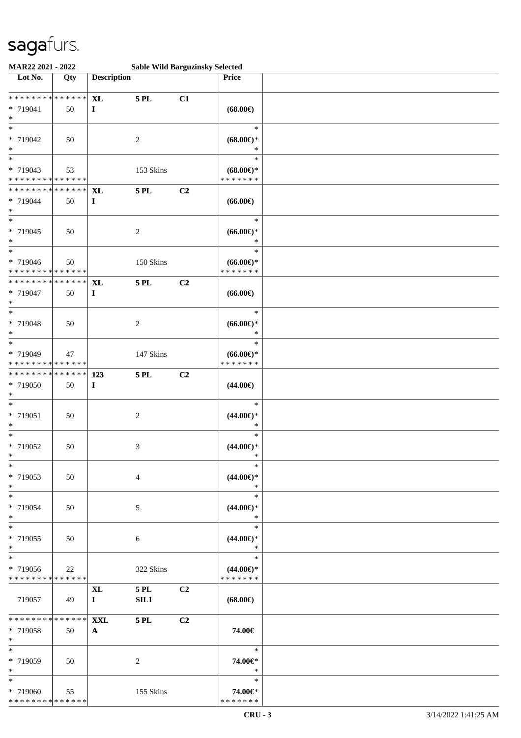| MAR22 2021 - 2022                                                   |        |                            |                     | <b>Sable Wild Barguzinsky Selected</b> |                                                |  |
|---------------------------------------------------------------------|--------|----------------------------|---------------------|----------------------------------------|------------------------------------------------|--|
| Lot No.                                                             | Qty    | <b>Description</b>         |                     |                                        | Price                                          |  |
| * * * * * * * * * * * * * *<br>* 719041<br>$\ast$                   | 50     | <b>XL</b><br>$\bf{I}$      | <b>5 PL</b>         | C1                                     | $(68.00\epsilon)$                              |  |
| $\ast$<br>* 719042<br>$\ast$                                        | 50     |                            | $\overline{c}$      |                                        | $\ast$<br>$(68.00\epsilon)$ *<br>$\ast$        |  |
| $\overline{\phantom{0}}$<br>* 719043<br>* * * * * * * * * * * * * * | 53     |                            | 153 Skins           |                                        | $\ast$<br>$(68.00\epsilon)$ *<br>* * * * * * * |  |
| * * * * * * * * * * * * * *<br>* 719044<br>$\ast$                   | 50     | <b>XL</b><br>$\mathbf I$   | <b>5 PL</b>         | C <sub>2</sub>                         | $(66.00\epsilon)$                              |  |
| $\overline{\ast}$<br>* 719045<br>$\ast$                             | 50     |                            | $\overline{c}$      |                                        | $\ast$<br>$(66.00ε)$ *<br>$\ast$               |  |
| $\ast$<br>* 719046<br>* * * * * * * * * * * * * *                   | 50     |                            | 150 Skins           |                                        | $\ast$<br>$(66.00ε)$ *<br>* * * * * * *        |  |
| * * * * * * * * * * * * * *<br>* 719047<br>$\ast$                   | 50     | <b>XL</b><br>$\bf{I}$      | <b>5 PL</b>         | C <sub>2</sub>                         | $(66.00\epsilon)$                              |  |
| $\ast$<br>* 719048<br>$\ast$                                        | 50     |                            | $\overline{c}$      |                                        | $\ast$<br>$(66.00ε)$ *<br>$\ast$               |  |
| $\ast$<br>* 719049<br>* * * * * * * * * * * * * *                   | 47     |                            | 147 Skins           |                                        | $\ast$<br>$(66.00ε)$ *<br>* * * * * * *        |  |
| * * * * * * * * * * * * * *<br>* 719050<br>$\ast$                   | 50     | 123<br>$\mathbf I$         | $5$ PL $\,$         | C <sub>2</sub>                         | $(44.00\epsilon)$                              |  |
| $\ast$<br>* 719051<br>$\ast$                                        | 50     |                            | $\sqrt{2}$          |                                        | $\ast$<br>$(44.00ε)$ *<br>$\ast$               |  |
| $\ast$<br>* 719052<br>$*$                                           | 50     |                            | $\mathfrak{Z}$      |                                        | $\ast$<br>$(44.00\epsilon)$ *<br>$\ast$        |  |
| $*$<br>* 719053<br>$*$                                              | 50     |                            | $\overline{4}$      |                                        | $\ast$<br>$(44.00\epsilon)$ *<br>$\ast$        |  |
| $\ast$<br>* 719054<br>$*$                                           | 50     |                            | 5                   |                                        | $\ast$<br>$(44.00\epsilon)$ *<br>$\ast$        |  |
| $*$<br>* 719055<br>$*$                                              | 50     |                            | 6                   |                                        | $\ast$<br>$(44.00\epsilon)$ *<br>$\ast$        |  |
| $\ast$<br>* 719056<br>* * * * * * * * * * * * * *                   | $22\,$ |                            | 322 Skins           |                                        | $\ast$<br>$(44.00\epsilon)$ *<br>* * * * * * * |  |
| 719057                                                              | - 49   | XL<br>$\bf{I}$             | <b>5 PL</b><br>SIL1 | C2                                     | $(68.00\epsilon)$                              |  |
| * * * * * * * * * * * * * * *<br>* 719058<br>$*$                    | 50     | <b>XXL</b><br>$\mathbf{A}$ | <b>5 PL</b>         | C <sub>2</sub>                         | 74.00€                                         |  |
| $\ast$<br>* 719059<br>$*$                                           | 50     |                            | 2                   |                                        | $\ast$<br>74.00€*<br>$\ast$                    |  |
| $*$<br>* 719060<br>* * * * * * * * * * * * * *                      | 55     |                            | 155 Skins           |                                        | $\ast$<br>74.00€*<br>* * * * * * *             |  |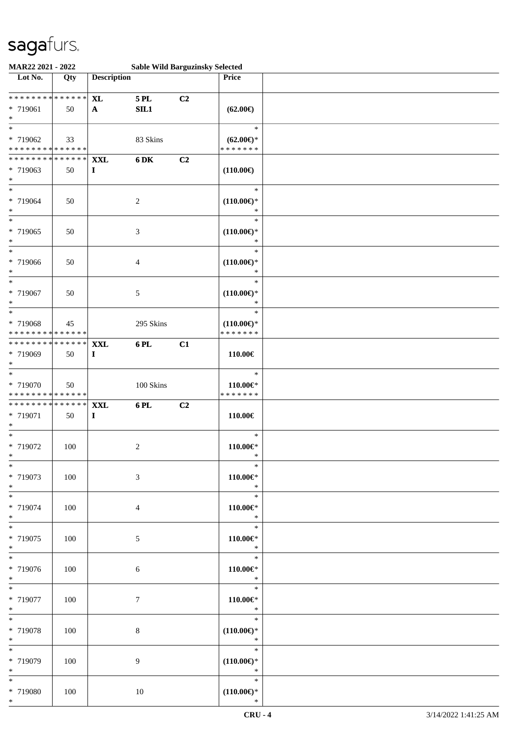| MAR22 2021 - 2022                                                             |     |                           |                    | <b>Sable Wild Barguzinsky Selected</b> |                                                 |  |
|-------------------------------------------------------------------------------|-----|---------------------------|--------------------|----------------------------------------|-------------------------------------------------|--|
| Lot No.                                                                       | Qty | <b>Description</b>        |                    |                                        | Price                                           |  |
| ******** <mark>******</mark><br>* 719061<br>$\ast$                            | 50  | <b>XL</b><br>$\mathbf{A}$ | $5$ PL $\,$<br>SL1 | C2                                     | $(62.00\epsilon)$                               |  |
| $\overline{\ast}$<br>* 719062<br>* * * * * * * * * * * * * *                  | 33  |                           | 83 Skins           |                                        | $\ast$<br>$(62.00\epsilon)$ *<br>* * * * * * *  |  |
| * * * * * * * * * * * * * *<br>* 719063<br>$\ast$<br>$\overline{\phantom{0}}$ | 50  | <b>XXL</b><br>$\bf{I}$    | 6 DK               | C2                                     | $(110.00\epsilon)$                              |  |
| * 719064<br>$\ast$<br>$\overline{\phantom{0}}$                                | 50  |                           | $\overline{c}$     |                                        | $\ast$<br>$(110.00\epsilon)$ *<br>$\ast$        |  |
| * 719065<br>$\ast$                                                            | 50  |                           | $\mathfrak{Z}$     |                                        | $\ast$<br>$(110.00\epsilon)$ *<br>$\ast$        |  |
| $\ast$<br>* 719066<br>$\ast$                                                  | 50  |                           | $\overline{4}$     |                                        | $\ast$<br>$(110.00\epsilon)$ *<br>$\ast$        |  |
| $\ast$<br>* 719067<br>$\ast$                                                  | 50  |                           | 5                  |                                        | $\ast$<br>$(110.00\epsilon)$ *<br>$\ast$        |  |
| $\ast$<br>* 719068<br>* * * * * * * * * * * * * *                             | 45  |                           | 295 Skins          |                                        | $\ast$<br>$(110.00\epsilon)$ *<br>* * * * * * * |  |
| * * * * * * * * * * * * * *<br>* 719069<br>$\ast$                             | 50  | <b>XXL</b><br>$\bf{I}$    | 6PL                | C1                                     | 110.00€                                         |  |
| $\ast$<br>* 719070<br>* * * * * * * * * * * * * *                             | 50  |                           | 100 Skins          |                                        | $\ast$<br>110.00€*<br>* * * * * * *             |  |
| * * * * * * * * * * * * * *<br>* 719071<br>$*$                                | 50  | <b>XXL</b><br>$\mathbf I$ | 6 PL               | C2                                     | 110.00€                                         |  |
| $*$<br>* 719072<br>$*$                                                        | 100 |                           | $\boldsymbol{2}$   |                                        | $\ast$<br>$110.00 \in$<br>$\ast$                |  |
| $\ast$<br>* 719073<br>$*$<br>$\overline{\ast}$                                | 100 |                           | $\mathfrak{Z}$     |                                        | $\ast$<br>110.00€*<br>$\ast$                    |  |
| * 719074<br>$*$                                                               | 100 |                           | $\overline{4}$     |                                        | $\ast$<br>$110.00 \textrm{E}^*$<br>$\ast$       |  |
| $*$<br>* 719075<br>$*$                                                        | 100 |                           | 5                  |                                        | $\ast$<br>$110.00 \textrm{E}^*$<br>$\ast$       |  |
| $*$<br>* 719076<br>$*$                                                        | 100 |                           | 6                  |                                        | $\ast$<br>$110.00 \in$<br>$\ast$                |  |
| $\overline{\ast}$<br>* 719077<br>$*$                                          | 100 |                           | $\tau$             |                                        | $\ast$<br>$110.00 \in$<br>$\ast$                |  |
| $*$<br>* 719078<br>$*$                                                        | 100 |                           | $8\,$              |                                        | $\ast$<br>$(110.00\epsilon)$ *<br>$\ast$        |  |
| $\ast$<br>* 719079<br>$*$                                                     | 100 |                           | 9                  |                                        | $\ast$<br>$(110.00\epsilon)$ *<br>$\ast$        |  |
| $*$<br>* 719080<br>$*$                                                        | 100 |                           | $10\,$             |                                        | $\ast$<br>$(110.00\epsilon)$ *<br>$\ast$        |  |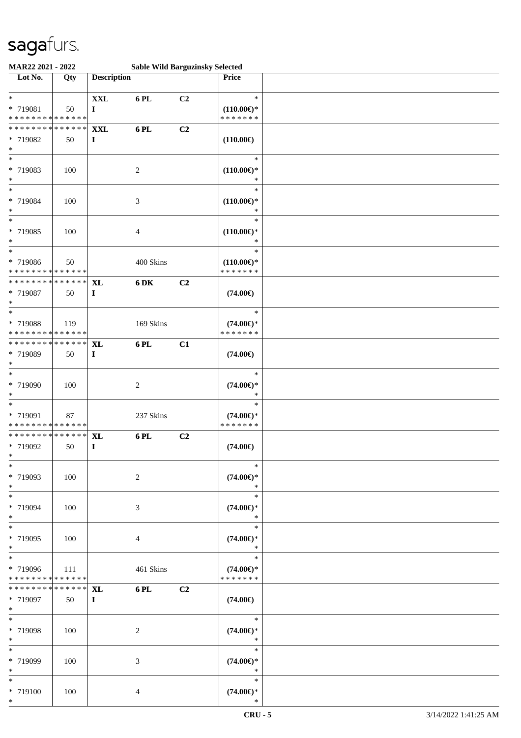| MAR22 2021 - 2022                                                         |                   |                           |                | <b>Sable Wild Barguzinsky Selected</b> |                                                 |  |
|---------------------------------------------------------------------------|-------------------|---------------------------|----------------|----------------------------------------|-------------------------------------------------|--|
| Lot No.                                                                   | Qty               | <b>Description</b>        |                |                                        | Price                                           |  |
| $\ddot{x}$<br>* 719081<br>* * * * * * * * <mark>* * * * * *</mark>        | 50                | <b>XXL</b><br>$\bf{I}$    | 6 PL           | C2                                     | $\ast$<br>$(110.00\epsilon)$ *<br>* * * * * * * |  |
| * * * * * * * *<br>* 719082<br>$\ast$                                     | * * * * * *<br>50 | XXL<br>$\bf{I}$           | 6PL            | C2                                     | $(110.00\epsilon)$                              |  |
| * 719083<br>$\ast$                                                        | 100               |                           | 2              |                                        | $\ast$<br>$(110.00\epsilon)$ *<br>∗             |  |
| $\overline{\ast}$<br>* 719084<br>$\ast$                                   | 100               |                           | 3              |                                        | $\ast$<br>$(110.00\epsilon)$ *<br>∗             |  |
| $*$<br>* 719085<br>$\ast$                                                 | 100               |                           | $\overline{4}$ |                                        | $\ast$<br>$(110.00\epsilon)$ *<br>$\ast$        |  |
| * 719086<br>* * * * * * * * <mark>* * * * * * *</mark>                    | 50                |                           | 400 Skins      |                                        | $\ast$<br>$(110.00\epsilon)$ *<br>* * * * * * * |  |
| * * * * * * * * <mark>* * * * * * *</mark><br>* 719087<br>$\ast$          | 50                | <b>XL</b><br>$\mathbf{I}$ | 6 DK           | C2                                     | $(74.00\epsilon)$                               |  |
| $\overline{\ast}$<br>* 719088<br>* * * * * * * * <mark>* * * * * *</mark> | 119               |                           | 169 Skins      |                                        | $\ast$<br>$(74.00\epsilon)$ *<br>* * * * * * *  |  |
| * * * * * * * * * * * * * * <mark>*</mark><br>* 719089<br>$\ast$          | 50                | <b>XL</b><br>$\mathbf{I}$ | 6 PL           | C1                                     | $(74.00\epsilon)$                               |  |
| $\ast$<br>* 719090<br>$\ast$                                              | 100               |                           | $\overline{c}$ |                                        | $\ast$<br>$(74.00\epsilon)$ *<br>$\ast$         |  |
| * 719091<br>* * * * * * * * <mark>* * * * * *</mark>                      | 87                |                           | 237 Skins      |                                        | $\ast$<br>$(74.00\epsilon)$ *<br>* * * * * * *  |  |
| * * * * * * * * <mark>* * * * * * *</mark><br>* 719092<br>$*$ $-$         | 50                | <b>XL</b><br>$\mathbf{I}$ | 6 PL           | C2                                     | $(74.00\epsilon)$                               |  |
| $\ast$<br>* 719093<br>$*$                                                 | 100               |                           | $\overline{2}$ |                                        | $\ast$<br>$(74.00\epsilon)$ *<br>$\ast$         |  |
| $\overline{\mathbf{r}}$<br>* 719094<br>$*$                                | 100               |                           | $\mathfrak{Z}$ |                                        | $\ast$<br>$(74.00\epsilon)$ *<br>$\ast$         |  |
| * 719095<br>$*$                                                           | 100               |                           | $\overline{4}$ |                                        | $\ast$<br>$(74.00\epsilon)$ *<br>$\ast$         |  |
| * 719096<br>* * * * * * * * <mark>* * * * * * *</mark>                    | - 111             |                           | 461 Skins      |                                        | $\ast$<br>$(74.00\epsilon)$ *<br>* * * * * * *  |  |
| * * * * * * * *<br>* 719097<br>$*$                                        | $*****$ XL<br>50  | $\bf{I}$                  | 6 PL           | C2                                     | $(74.00\epsilon)$                               |  |
| $\ast$<br>* 719098<br>$*$                                                 | 100               |                           | 2              |                                        | $\ast$<br>$(74.00\epsilon)$ *<br>$\ast$         |  |
| * 719099<br>$*$                                                           | 100               |                           | 3              |                                        | $\ast$<br>$(74.00\epsilon)$ *<br>$*$            |  |
| $\ast$<br>* 719100<br>$*$                                                 | 100               |                           | $\overline{4}$ |                                        | $\ast$<br>$(74.00\epsilon)$ *<br>$\ast$         |  |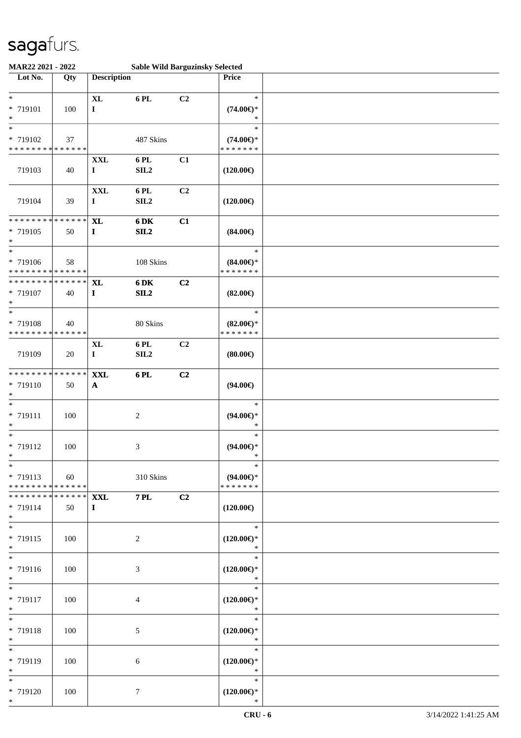| MAR22 2021 - 2022                                  |     |                                |                | <b>Sable Wild Barguzinsky Selected</b> |                                                |  |
|----------------------------------------------------|-----|--------------------------------|----------------|----------------------------------------|------------------------------------------------|--|
| Lot No.                                            | Qty | <b>Description</b>             |                |                                        | Price                                          |  |
| $*$<br>* 719101<br>$\ast$                          | 100 | $\bold{X}\bold{L}$<br>$\bf{I}$ | 6 PL           | C2                                     | $\ast$<br>$(74.00\epsilon)$ *<br>$\ast$        |  |
| $\ast$<br>* 719102<br>* * * * * * * * * * * * * *  | 37  |                                | 487 Skins      |                                        | $\ast$<br>$(74.00\epsilon)$ *<br>* * * * * * * |  |
| 719103                                             | 40  | XXL<br>$\mathbf{I}$            | 6 PL<br>SL2    | C1                                     | $(120.00\epsilon)$                             |  |
| 719104                                             | 39  | $\mathbf{XXL}$<br>$\mathbf I$  | 6 PL<br>SL2    | C <sub>2</sub>                         | $(120.00\epsilon)$                             |  |
| * * * * * * * * * * * * * *<br>* 719105<br>$*$     | 50  | <b>XL</b><br>$\mathbf I$       | 6 DK<br>SL2    | C1                                     | $(84.00\epsilon)$                              |  |
| $*$<br>* 719106<br>******** <mark>******</mark>    | 58  |                                | 108 Skins      |                                        | $\ast$<br>$(84.00\epsilon)$ *<br>* * * * * * * |  |
| ******** <mark>******</mark><br>* 719107<br>$\ast$ | 40  | <b>XL</b><br>$\bf{I}$          | 6 DK<br>SL2    | C2                                     | $(82.00\epsilon)$                              |  |
| $\ast$<br>* 719108<br>* * * * * * * * * * * * * *  | 40  |                                | 80 Skins       |                                        | $\ast$<br>$(82.00\epsilon)$ *<br>* * * * * * * |  |
| 719109                                             | 20  | <b>XL</b><br>$\mathbf I$       | 6 PL<br>SL2    | C <sub>2</sub>                         | $(80.00\epsilon)$                              |  |
| * * * * * * * * * * * * * *<br>* 719110<br>$\ast$  | 50  | <b>XXL</b><br>$\mathbf{A}$     | 6 PL           | C2                                     | $(94.00\epsilon)$                              |  |
| $\ast$<br>* 719111<br>$*$                          | 100 |                                | $\overline{c}$ |                                        | $\ast$<br>$(94.00\epsilon)$ *<br>$\ast$        |  |
| $*$<br>* 719112<br>$*$                             | 100 |                                | 3              |                                        | $\ast$<br>$(94.00\epsilon)$ *<br>$\ast$        |  |
| $*$<br>* 719113<br>* * * * * * * * * * * * * * *   | 60  |                                | 310 Skins      |                                        | $\ast$<br>$(94.00\epsilon)$ *<br>* * * * * * * |  |
| * * * * * * * * * * * * * * *<br>* 719114<br>$*$   | 50  | <b>XXL</b><br>$\bf{I}$         | <b>7 PL</b>    | C2                                     | $(120.00\epsilon)$                             |  |
| $*$<br>* 719115<br>$*$                             | 100 |                                | 2              |                                        | $\ast$<br>$(120.00\epsilon)$ *<br>$\ast$       |  |
| $*$<br>* 719116<br>$*$                             | 100 |                                | 3              |                                        | $\ast$<br>$(120.00\epsilon)$ *<br>$\ast$       |  |
| $*$<br>* 719117<br>$*$                             | 100 |                                | $\overline{4}$ |                                        | $\ast$<br>$(120.00\in)^\ast$<br>$\ast$         |  |
| $*$<br>* 719118<br>$*$                             | 100 |                                | 5              |                                        | $\ast$<br>$(120.00\epsilon)$ *<br>$\ast$       |  |
| $\ast$<br>* 719119<br>$*$                          | 100 |                                | 6              |                                        | $\ast$<br>$(120.00\epsilon)$ *<br>$\ast$       |  |
| $\ast$<br>* 719120<br>$*$                          | 100 |                                | $\tau$         |                                        | $\ast$<br>$(120.00\epsilon)$ *<br>$\ast$       |  |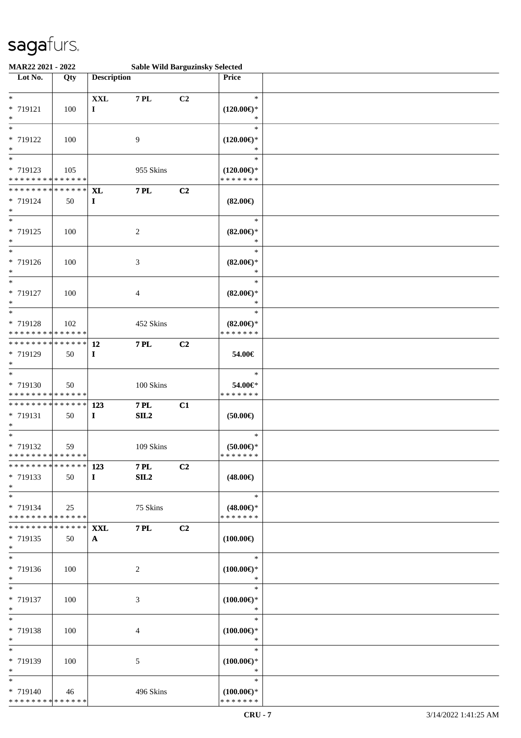| MAR22 2021 - 2022                                                            |     |                           |                    | <b>Sable Wild Barguzinsky Selected</b> |                                                |  |
|------------------------------------------------------------------------------|-----|---------------------------|--------------------|----------------------------------------|------------------------------------------------|--|
| Lot No.                                                                      | Qty | <b>Description</b>        |                    |                                        | Price                                          |  |
| $\ast$<br>* 719121<br>$\ast$                                                 | 100 | <b>XXL</b><br>$\mathbf I$ | <b>7 PL</b>        | C2                                     | $\ast$<br>$(120.00\epsilon)$ *<br>*            |  |
| $\overline{\ast}$<br>* 719122<br>$\ast$<br>$\overline{\ast}$                 | 100 |                           | 9                  |                                        | $\ast$<br>$(120.00\epsilon)$ *<br>*            |  |
| * 719123<br>* * * * * * * * * * * * * *                                      | 105 |                           | 955 Skins          |                                        | $\ast$<br>$(120.00€)$ *<br>* * * * * * *       |  |
| * * * * * * * * * * * * * *<br>* 719124<br>$*$                               | 50  | <b>XL</b><br>$\mathbf I$  | <b>7 PL</b>        | C2                                     | $(82.00\epsilon)$                              |  |
| $\overline{\ast}$<br>* 719125<br>$\ast$<br>$\ast$                            | 100 |                           | $\overline{c}$     |                                        | $\ast$<br>$(82.00\epsilon)$ *<br>$\ast$        |  |
| * 719126<br>$*$                                                              | 100 |                           | 3                  |                                        | $\ast$<br>$(82.00\epsilon)$ *<br>$\ast$        |  |
| $\ast$<br>* 719127<br>$\ast$                                                 | 100 |                           | 4                  |                                        | $\ast$<br>$(82.00\epsilon)$ *<br>$\ast$        |  |
| $\ast$<br>* 719128<br>* * * * * * * * * * * * * *                            | 102 |                           | 452 Skins          |                                        | $\ast$<br>$(82.00\epsilon)$ *<br>* * * * * * * |  |
| * * * * * * * * * * * * * * *<br>* 719129<br>$*$<br>$\overline{\phantom{1}}$ | 50  | <b>12</b><br>$\mathbf{I}$ | <b>7 PL</b>        | C2                                     | 54.00€                                         |  |
| * 719130<br>* * * * * * * * * * * * * *                                      | 50  |                           | 100 Skins          |                                        | $\ast$<br>54.00€*<br>* * * * * * *             |  |
| * * * * * * * * * * * * * * *<br>* 719131<br>$*$                             | 50  | 123<br>$\bf{I}$           | <b>7 PL</b><br>SL2 | C1                                     | $(50.00\epsilon)$                              |  |
| $\ast$<br>* 719132<br>******** <mark>******</mark>                           | 59  |                           | 109 Skins          |                                        | $\ast$<br>$(50.00 \in )^*$<br>* * * * * * *    |  |
| ************** 123<br>* 719133<br>$*$                                        | 50  | $\mathbf{I}$              | <b>7 PL</b><br>SL2 | C2                                     | $(48.00\epsilon)$                              |  |
| $*$<br>* 719134<br>* * * * * * * * * * * * * * *                             | 25  |                           | 75 Skins           |                                        | $\ast$<br>$(48.00\epsilon)$ *<br>* * * * * * * |  |
| ************** XXL<br>* 719135<br>$*$                                        | 50  | $\mathbf{A}$              | <b>7 PL</b>        | C2                                     | $(100.00\epsilon)$                             |  |
| $*$<br>* 719136<br>$*$                                                       | 100 |                           | 2                  |                                        | $\ast$<br>$(100.00\epsilon)$ *<br>$\ast$       |  |
| $*$<br>* 719137<br>$*$                                                       | 100 |                           | 3                  |                                        | $\ast$<br>$(100.00\epsilon)$ *<br>$\ast$       |  |
| $*$<br>* 719138<br>$*$                                                       | 100 |                           | 4                  |                                        | $\ast$<br>$(100.00\epsilon)$ *<br>$\ast$       |  |
| $*$<br>* 719139<br>$*$                                                       | 100 |                           | 5                  |                                        | $\ast$<br>$(100.00\epsilon)$ *<br>$\ast$       |  |
| $*$<br>* 719140<br>* * * * * * * * * * * * * *                               | 46  |                           | 496 Skins          |                                        | $\ast$<br>$(100.00€)$ *<br>* * * * * * *       |  |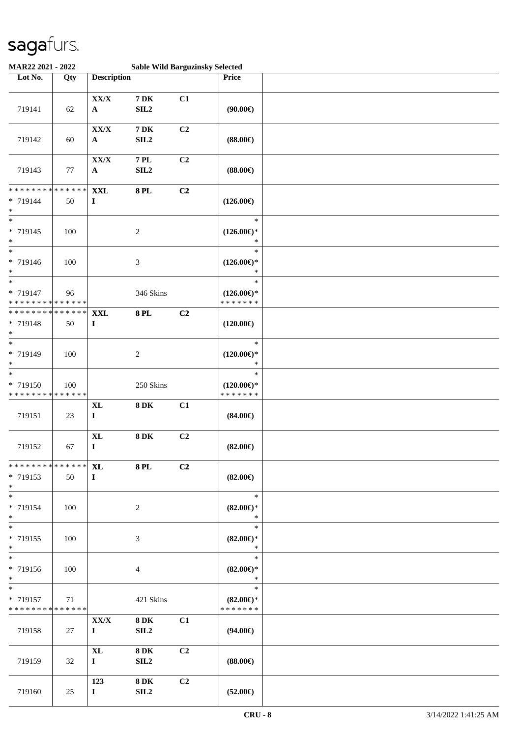| MAR22 2021 - 2022                                                     |                   |                               | <b>Sable Wild Barguzinsky Selected</b> |    |                                                 |  |
|-----------------------------------------------------------------------|-------------------|-------------------------------|----------------------------------------|----|-------------------------------------------------|--|
| Lot No.                                                               | Qty               | <b>Description</b>            |                                        |    | Price                                           |  |
| 719141                                                                | 62                | ${\bf XX/ X}$<br>$\mathbf{A}$ | $7\,\mathrm{DK}$<br>SL2                | C1 | (90.00)                                         |  |
| 719142                                                                | 60                | ${\bf XX/ X}$<br>$\mathbf{A}$ | $7\,\mathrm{DK}$<br>SL2                | C2 | $(88.00\epsilon)$                               |  |
| 719143                                                                | $77\,$            | ${\bf XX/ X}$<br>$\mathbf{A}$ | $7\,\mathrm{PL}$<br>SL2                | C2 | $(88.00\epsilon)$                               |  |
| * * * * * * * * * * * * * *<br>* 719144<br>$\ast$                     | 50                | $\mathbf{XXL}$<br>$\mathbf I$ | <b>8PL</b>                             | C2 | $(126.00\epsilon)$                              |  |
| $\overline{\phantom{0}}$<br>* 719145<br>$\ast$                        | 100               |                               | $\boldsymbol{2}$                       |    | $\ast$<br>$(126.00\epsilon)$ *<br>$\ast$        |  |
| $\overline{\ast}$<br>* 719146<br>$\ast$                               | 100               |                               | 3                                      |    | $\ast$<br>$(126.00\epsilon)$ *<br>$\ast$        |  |
| $\overline{\phantom{a}^*}$<br>* 719147<br>* * * * * * * * * * * * * * | 96                |                               | 346 Skins                              |    | $\ast$<br>$(126.00\epsilon)$ *<br>* * * * * * * |  |
| * * * * * * * * * * * * * *<br>* 719148<br>$\ast$                     | 50                | <b>XXL</b><br>$\mathbf I$     | <b>8PL</b>                             | C2 | $(120.00\epsilon)$                              |  |
| $\ast$<br>* 719149<br>$\ast$                                          | 100               |                               | $\boldsymbol{2}$                       |    | $\ast$<br>$(120.00\epsilon)$ *<br>$\ast$        |  |
| $\ast$<br>* 719150<br>* * * * * * * * * * * * * *                     | 100               |                               | 250 Skins                              |    | $\ast$<br>$(120.00\epsilon)$ *<br>* * * * * * * |  |
| 719151                                                                | 23                | $\mathbf{X}$ L<br>$\mathbf I$ | $8\,\mathrm{DK}$                       | C1 | $(84.00\epsilon)$                               |  |
| 719152                                                                | 67                | <b>XL</b><br>$\mathbf I$      | $8\,\mathrm{DK}$                       | C2 | $(82.00\epsilon)$                               |  |
| * * * * * * * * * * * * * * *<br>* 719153<br>$*$                      | 50                | <b>XL</b><br>$\mathbf{I}$     | <b>8 PL</b>                            | C2 | $(82.00\epsilon)$                               |  |
| $*$<br>* 719154<br>$*$                                                | 100               |                               | $\overline{c}$                         |    | $\ast$<br>$(82.00\epsilon)$ *<br>$\ast$         |  |
| $*$<br>* 719155<br>$*$                                                | 100               |                               | 3                                      |    | $\ast$<br>$(82.00\epsilon)$ *<br>$\ast$         |  |
| $*$<br>* 719156<br>$*$                                                | 100               |                               | 4                                      |    | $\ast$<br>$(82.00\epsilon)$ *<br>$\ast$         |  |
| $\ast$<br>* 719157<br>* * * * * * * *                                 | 71<br>* * * * * * |                               | 421 Skins                              |    | $\ast$<br>$(82.00\epsilon)$ *<br>* * * * * * *  |  |
| 719158                                                                | 27                | XX/X<br>$\bf{I}$              | <b>8DK</b><br>SL2                      | C1 | $(94.00\epsilon)$                               |  |
| 719159                                                                | 32                | $\mathbf{XL}$<br>$\mathbf{I}$ | <b>8DK</b><br>SIL <sub>2</sub>         | C2 | $(88.00\epsilon)$                               |  |
| 719160                                                                | 25                | 123<br>$\mathbf{I}$           | <b>8DK</b><br>SIL <sub>2</sub>         | C2 | $(52.00\epsilon)$                               |  |